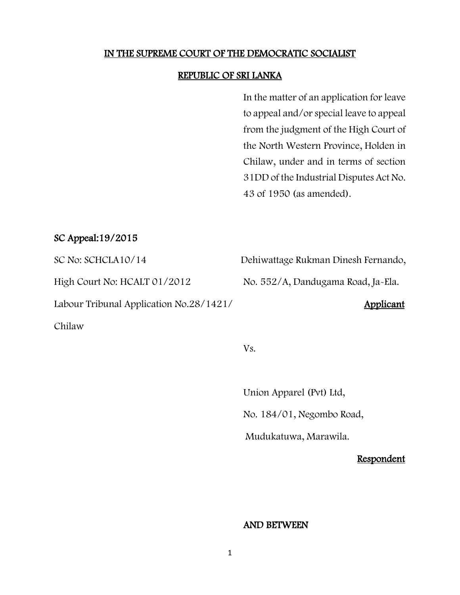#### IN THE SUPREME COURT OF THE DEMOCRATIC SOCIALIST

#### REPUBLIC OF SRI LANKA

In the matter of an application for leave to appeal and/or special leave to appeal from the judgment of the High Court of the North Western Province, Holden in Chilaw, under and in terms of section 31DD of the Industrial Disputes Act No. 43 of 1950 (as amended).

#### SC Appeal:19/2015

High Court No: HCALT 01/2012 No. 552/A, Dandugama Road, Ja-Ela.

Labour Tribunal Application No.28/1421/ Applicant

Chilaw

SC No: SCHCLA10/14 Dehiwattage Rukman Dinesh Fernando,

Vs.

Union Apparel (Pvt) Ltd, No. 184/01, Negombo Road,

Mudukatuwa, Marawila.

Respondent

#### AND BETWEEN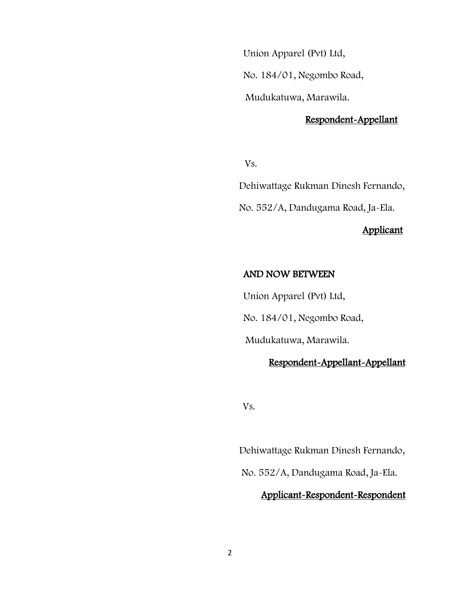Union Apparel (Pvt) Ltd,

No. 184/01, Negombo Road,

Mudukatuwa, Marawila.

## Respondent-Appellant

Vs.

Dehiwattage Rukman Dinesh Fernando,

No. 552/A, Dandugama Road, Ja-Ela.

### Applicant

#### AND NOW BETWEEN

 Union Apparel (Pvt) Ltd, No. 184/01, Negombo Road,

Mudukatuwa, Marawila.

### Respondent-Appellant-Appellant

Vs.

 Dehiwattage Rukman Dinesh Fernando, No. 552/A, Dandugama Road, Ja-Ela.

### Applicant-Respondent-Respondent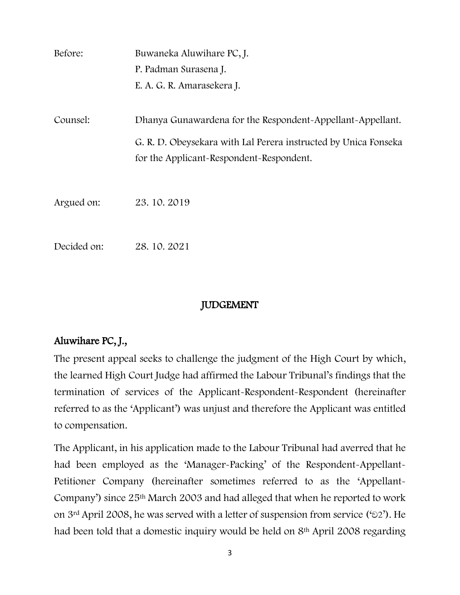| Before:     | Buwaneka Aluwihare PC, J.                                       |
|-------------|-----------------------------------------------------------------|
|             | P. Padman Surasena J.                                           |
|             | E. A. G. R. Amarasekera J.                                      |
|             |                                                                 |
| Counsel:    | Dhanya Gunawardena for the Respondent-Appellant-Appellant.      |
|             | G. R. D. Obeysekara with Lal Perera instructed by Unica Fonseka |
|             | for the Applicant-Respondent-Respondent.                        |
|             |                                                                 |
| Argued on:  | 23.10.2019                                                      |
|             |                                                                 |
| Decided on: | 28.10.2021                                                      |
|             |                                                                 |

## JUDGEMENT

# Aluwihare PC, J.,

The present appeal seeks to challenge the judgment of the High Court by which, the learned High Court Judge had affirmed the Labour Tribunal's findings that the termination of services of the Applicant-Respondent-Respondent (hereinafter referred to as the 'Applicant') was unjust and therefore the Applicant was entitled to compensation.

The Applicant, in his application made to the Labour Tribunal had averred that he had been employed as the 'Manager-Packing' of the Respondent-Appellant-Petitioner Company (hereinafter sometimes referred to as the 'Appellant-Company') since 25th March 2003 and had alleged that when he reported to work on 3<sup>rd</sup> April 2008, he was served with a letter of suspension from service (' $\odot$ 2'). He had been told that a domestic inquiry would be held on 8th April 2008 regarding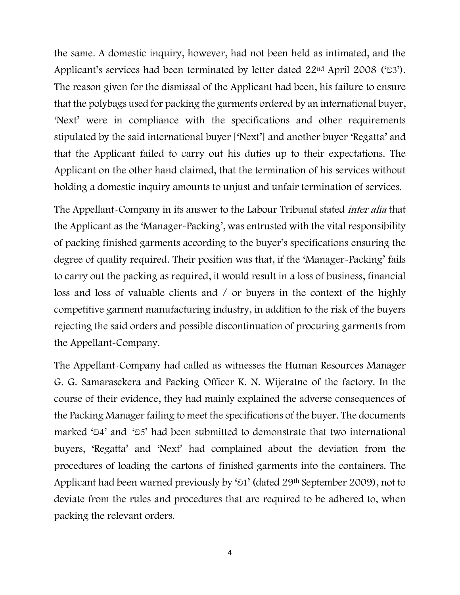the same. A domestic inquiry, however, had not been held as intimated, and the Applicant's services had been terminated by letter dated  $22<sup>nd</sup>$  April 2008 (' $\odot$ 3'). The reason given for the dismissal of the Applicant had been, his failure to ensure that the polybags used for packing the garments ordered by an international buyer, 'Next' were in compliance with the specifications and other requirements stipulated by the said international buyer ['Next'] and another buyer 'Regatta' and that the Applicant failed to carry out his duties up to their expectations. The Applicant on the other hand claimed, that the termination of his services without holding a domestic inquiry amounts to unjust and unfair termination of services.

The Appellant-Company in its answer to the Labour Tribunal stated *inter alia* that the Applicant as the 'Manager-Packing', was entrusted with the vital responsibility of packing finished garments according to the buyer's specifications ensuring the degree of quality required. Their position was that, if the 'Manager-Packing' fails to carry out the packing as required, it would result in a loss of business, financial loss and loss of valuable clients and / or buyers in the context of the highly competitive garment manufacturing industry, in addition to the risk of the buyers rejecting the said orders and possible discontinuation of procuring garments from the Appellant-Company.

The Appellant-Company had called as witnesses the Human Resources Manager G. G. Samarasekera and Packing Officer K. N. Wijeratne of the factory. In the course of their evidence, they had mainly explained the adverse consequences of the Packing Manager failing to meet the specifications of the buyer. The documents marked ' $\mathfrak{D}4$ ' and ' $\mathfrak{D}5$ ' had been submitted to demonstrate that two international buyers, 'Regatta' and 'Next' had complained about the deviation from the procedures of loading the cartons of finished garments into the containers. The Applicant had been warned previously by ' $\odot$ 1' (dated 29<sup>th</sup> September 2009), not to deviate from the rules and procedures that are required to be adhered to, when packing the relevant orders.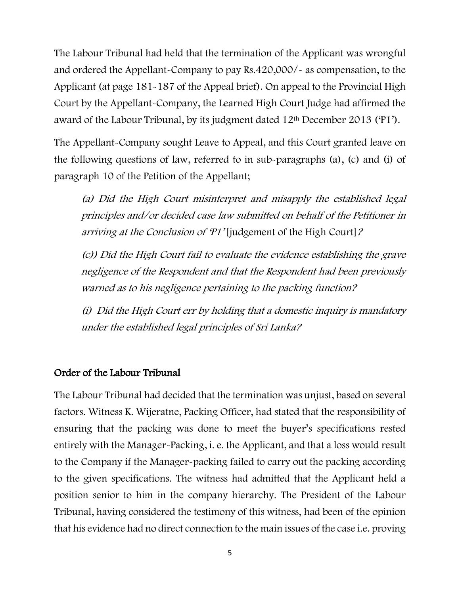The Labour Tribunal had held that the termination of the Applicant was wrongful and ordered the Appellant-Company to pay Rs.420,000/- as compensation, to the Applicant (at page 181-187 of the Appeal brief). On appeal to the Provincial High Court by the Appellant-Company, the Learned High Court Judge had affirmed the award of the Labour Tribunal, by its judgment dated 12th December 2013 ('P1').

The Appellant-Company sought Leave to Appeal, and this Court granted leave on the following questions of law, referred to in sub-paragraphs (a), (c) and (i) of paragraph 10 of the Petition of the Appellant;

(a) Did the High Court misinterpret and misapply the established legal principles and/or decided case law submitted on behalf of the Petitioner in arriving at the Conclusion of 'P1' [judgement of the High Court]?

(c)) Did the High Court fail to evaluate the evidence establishing the grave negligence of the Respondent and that the Respondent had been previously warned as to his negligence pertaining to the packing function?

(i) Did the High Court err by holding that a domestic inquiry is mandatory under the established legal principles of Sri Lanka?

## Order of the Labour Tribunal

The Labour Tribunal had decided that the termination was unjust, based on several factors. Witness K. Wijeratne, Packing Officer, had stated that the responsibility of ensuring that the packing was done to meet the buyer's specifications rested entirely with the Manager-Packing, i. e. the Applicant, and that a loss would result to the Company if the Manager-packing failed to carry out the packing according to the given specifications. The witness had admitted that the Applicant held a position senior to him in the company hierarchy. The President of the Labour Tribunal, having considered the testimony of this witness, had been of the opinion that his evidence had no direct connection to the main issues of the case i.e. proving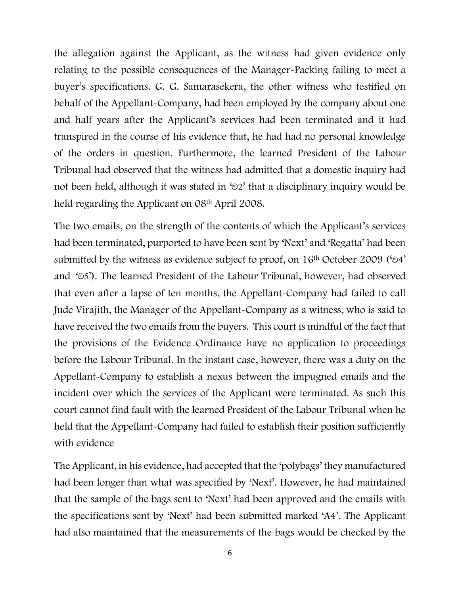the allegation against the Applicant, as the witness had given evidence only relating to the possible consequences of the Manager-Packing failing to meet a buyer's specifications. G. G. Samarasekera, the other witness who testified on behalf of the Appellant-Company, had been employed by the company about one and half years after the Applicant's services had been terminated and it had transpired in the course of his evidence that, he had had no personal knowledge of the orders in question. Furthermore, the learned President of the Labour Tribunal had observed that the witness had admitted that a domestic inquiry had not been held, although it was stated in ' $2$ ' that a disciplinary inquiry would be held regarding the Applicant on 08<sup>th</sup> April 2008.

The two emails, on the strength of the contents of which the Applicant's services had been terminated, purported to have been sent by 'Next' and 'Regatta' had been submitted by the witness as evidence subject to proof, on  $16<sup>th</sup>$  October 2009 (' $24'$ ) and ' $\delta$ 5'). The learned President of the Labour Tribunal, however, had observed that even after a lapse of ten months, the Appellant-Company had failed to call Jude Virajith, the Manager of the Appellant-Company as a witness, who is said to have received the two emails from the buyers. This court is mindful of the fact that the provisions of the Evidence Ordinance have no application to proceedings before the Labour Tribunal. In the instant case, however, there was a duty on the Appellant-Company to establish a nexus between the impugned emails and the incident over which the services of the Applicant were terminated. As such this court cannot find fault with the learned President of the Labour Tribunal when he held that the Appellant-Company had failed to establish their position sufficiently with evidence

The Applicant, in his evidence, had accepted that the 'polybags' they manufactured had been longer than what was specified by 'Next'. However, he had maintained that the sample of the bags sent to 'Next' had been approved and the emails with the specifications sent by 'Next' had been submitted marked 'A4'. The Applicant had also maintained that the measurements of the bags would be checked by the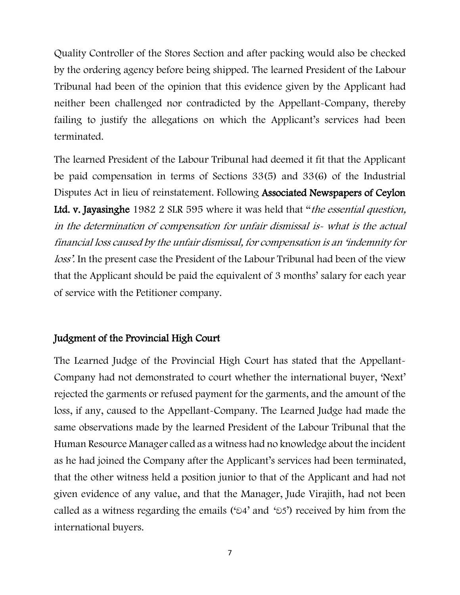Quality Controller of the Stores Section and after packing would also be checked by the ordering agency before being shipped. The learned President of the Labour Tribunal had been of the opinion that this evidence given by the Applicant had neither been challenged nor contradicted by the Appellant-Company, thereby failing to justify the allegations on which the Applicant's services had been terminated.

The learned President of the Labour Tribunal had deemed it fit that the Applicant be paid compensation in terms of Sections 33(5) and 33(6) of the Industrial Disputes Act in lieu of reinstatement. Following Associated Newspapers of Ceylon Ltd. v. Jayasinghe 1982 2 SLR 595 where it was held that "the essential question, in the determination of compensation for unfair dismissal is- what is the actual financial loss caused by the unfair dismissal, for compensation is an 'indemnity for loss'. In the present case the President of the Labour Tribunal had been of the view that the Applicant should be paid the equivalent of 3 months' salary for each year of service with the Petitioner company.

## Judgment of the Provincial High Court

The Learned Judge of the Provincial High Court has stated that the Appellant-Company had not demonstrated to court whether the international buyer, 'Next' rejected the garments or refused payment for the garments, and the amount of the loss, if any, caused to the Appellant-Company. The Learned Judge had made the same observations made by the learned President of the Labour Tribunal that the Human Resource Manager called as a witness had no knowledge about the incident as he had joined the Company after the Applicant's services had been terminated, that the other witness held a position junior to that of the Applicant and had not given evidence of any value, and that the Manager, Jude Virajith, had not been called as a witness regarding the emails ( $\omega$ 4' and  $\omega$ 5') received by him from the international buyers.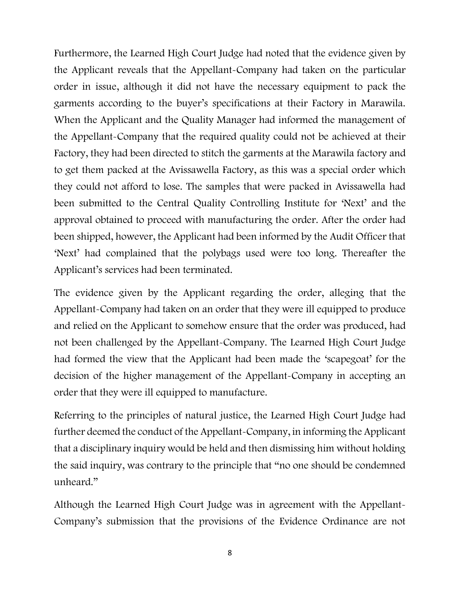Furthermore, the Learned High Court Judge had noted that the evidence given by the Applicant reveals that the Appellant-Company had taken on the particular order in issue, although it did not have the necessary equipment to pack the garments according to the buyer's specifications at their Factory in Marawila. When the Applicant and the Quality Manager had informed the management of the Appellant-Company that the required quality could not be achieved at their Factory, they had been directed to stitch the garments at the Marawila factory and to get them packed at the Avissawella Factory, as this was a special order which they could not afford to lose. The samples that were packed in Avissawella had been submitted to the Central Quality Controlling Institute for 'Next' and the approval obtained to proceed with manufacturing the order. After the order had been shipped, however, the Applicant had been informed by the Audit Officer that 'Next' had complained that the polybags used were too long. Thereafter the Applicant's services had been terminated.

The evidence given by the Applicant regarding the order, alleging that the Appellant-Company had taken on an order that they were ill equipped to produce and relied on the Applicant to somehow ensure that the order was produced, had not been challenged by the Appellant-Company. The Learned High Court Judge had formed the view that the Applicant had been made the 'scapegoat' for the decision of the higher management of the Appellant-Company in accepting an order that they were ill equipped to manufacture.

Referring to the principles of natural justice, the Learned High Court Judge had further deemed the conduct of the Appellant-Company, in informing the Applicant that a disciplinary inquiry would be held and then dismissing him without holding the said inquiry, was contrary to the principle that "no one should be condemned unheard."

Although the Learned High Court Judge was in agreement with the Appellant-Company's submission that the provisions of the Evidence Ordinance are not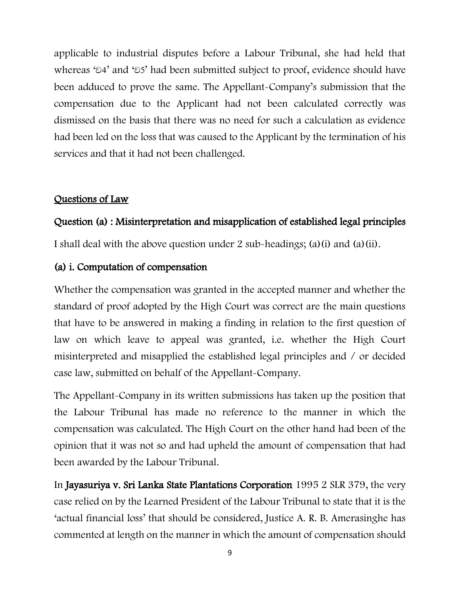applicable to industrial disputes before a Labour Tribunal, she had held that whereas ' $\mathfrak{D}4'$  and ' $\mathfrak{D}5'$  had been submitted subject to proof, evidence should have been adduced to prove the same. The Appellant-Company's submission that the compensation due to the Applicant had not been calculated correctly was dismissed on the basis that there was no need for such a calculation as evidence had been led on the loss that was caused to the Applicant by the termination of his services and that it had not been challenged.

### Questions of Law

# Question (a) : Misinterpretation and misapplication of established legal principles

I shall deal with the above question under 2 sub-headings; (a)(i) and (a)(ii).

#### (a) i. Computation of compensation

Whether the compensation was granted in the accepted manner and whether the standard of proof adopted by the High Court was correct are the main questions that have to be answered in making a finding in relation to the first question of law on which leave to appeal was granted, i.e. whether the High Court misinterpreted and misapplied the established legal principles and / or decided case law, submitted on behalf of the Appellant-Company.

The Appellant-Company in its written submissions has taken up the position that the Labour Tribunal has made no reference to the manner in which the compensation was calculated. The High Court on the other hand had been of the opinion that it was not so and had upheld the amount of compensation that had been awarded by the Labour Tribunal.

In Jayasuriya v. Sri Lanka State Plantations Corporation 1995 2 SLR 379, the very case relied on by the Learned President of the Labour Tribunal to state that it is the 'actual financial loss' that should be considered, Justice A. R. B. Amerasinghe has commented at length on the manner in which the amount of compensation should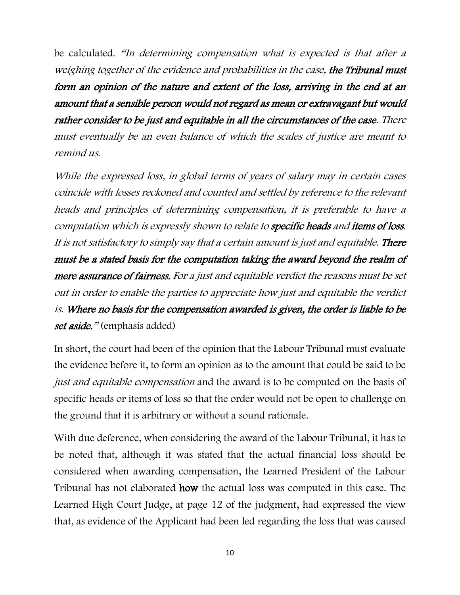be calculated. "In determining compensation what is expected is that after a weighing together of the evidence and probabilities in the case, the Tribunal must form an opinion of the nature and extent of the loss, arriving in the end at an amount that a sensible person would not regard as mean or extravagant but would rather consider to be just and equitable in all the circumstances of the case. There must eventually be an even balance of which the scales of justice are meant to remind us.

While the expressed loss, in global terms of years of salary may in certain cases coincide with losses reckoned and counted and settled by reference to the relevant heads and principles of determining compensation, it is preferable to have a computation which is expressly shown to relate to specific heads and items of loss. It is not satisfactory to simply say that a certain amount is just and equitable. There must be a stated basis for the computation taking the award beyond the realm of mere assurance of fairness. For a just and equitable verdict the reasons must be set out in order to enable the parties to appreciate how just and equitable the verdict is. Where no basis for the compensation awarded is given, the order is liable to be set aside." (emphasis added)

In short, the court had been of the opinion that the Labour Tribunal must evaluate the evidence before it, to form an opinion as to the amount that could be said to be just and equitable compensation and the award is to be computed on the basis of specific heads or items of loss so that the order would not be open to challenge on the ground that it is arbitrary or without a sound rationale.

With due deference, when considering the award of the Labour Tribunal, it has to be noted that, although it was stated that the actual financial loss should be considered when awarding compensation, the Learned President of the Labour Tribunal has not elaborated how the actual loss was computed in this case. The Learned High Court Judge, at page 12 of the judgment, had expressed the view that, as evidence of the Applicant had been led regarding the loss that was caused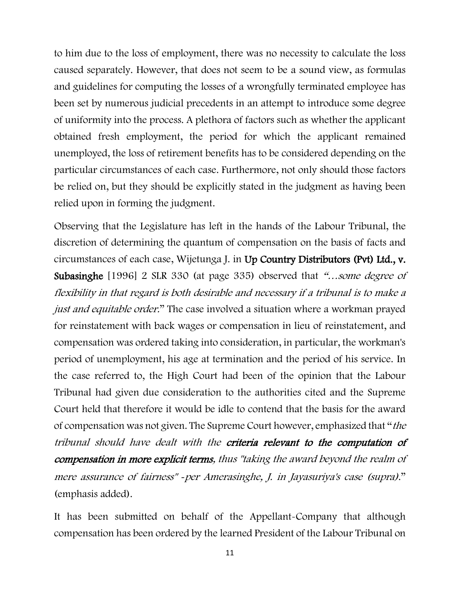to him due to the loss of employment, there was no necessity to calculate the loss caused separately. However, that does not seem to be a sound view, as formulas and guidelines for computing the losses of a wrongfully terminated employee has been set by numerous judicial precedents in an attempt to introduce some degree of uniformity into the process. A plethora of factors such as whether the applicant obtained fresh employment, the period for which the applicant remained unemployed, the loss of retirement benefits has to be considered depending on the particular circumstances of each case. Furthermore, not only should those factors be relied on, but they should be explicitly stated in the judgment as having been relied upon in forming the judgment.

Observing that the Legislature has left in the hands of the Labour Tribunal, the discretion of determining the quantum of compensation on the basis of facts and circumstances of each case, Wijetunga J. in Up Country Distributors (Pvt) Ltd., v. Subasinghe [1996] 2 SLR 330 (at page 335) observed that "…some degree of flexibility in that regard is both desirable and necessary if a tribunal is to make a just and equitable order." The case involved a situation where a workman prayed for reinstatement with back wages or compensation in lieu of reinstatement, and compensation was ordered taking into consideration, in particular, the workman's period of unemployment, his age at termination and the period of his service. In the case referred to, the High Court had been of the opinion that the Labour Tribunal had given due consideration to the authorities cited and the Supreme Court held that therefore it would be idle to contend that the basis for the award of compensation was not given. The Supreme Court however, emphasized that "the tribunal should have dealt with the criteria relevant to the computation of compensation in more explicit terms, thus "taking the award beyond the realm of mere assurance of fairness" *‑*per Amerasinghe, J. in Jayasuriya's case (supra)." (emphasis added).

It has been submitted on behalf of the Appellant-Company that although compensation has been ordered by the learned President of the Labour Tribunal on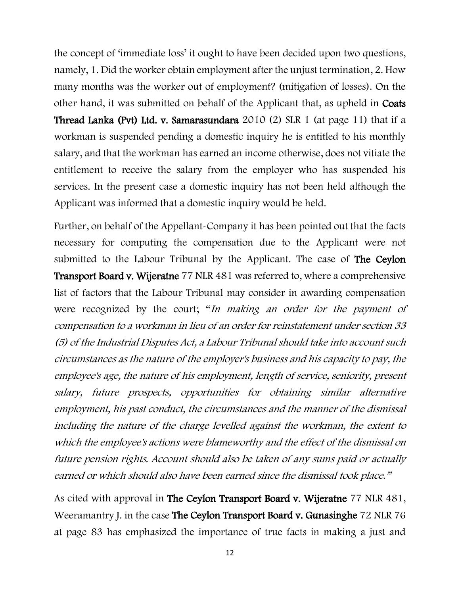the concept of 'immediate loss' it ought to have been decided upon two questions, namely, 1. Did the worker obtain employment after the unjust termination, 2. How many months was the worker out of employment? (mitigation of losses). On the other hand, it was submitted on behalf of the Applicant that, as upheld in Coats Thread Lanka (Pvt) Ltd. v. Samarasundara 2010 (2) SLR 1 (at page 11) that if a workman is suspended pending a domestic inquiry he is entitled to his monthly salary, and that the workman has earned an income otherwise, does not vitiate the entitlement to receive the salary from the employer who has suspended his services. In the present case a domestic inquiry has not been held although the Applicant was informed that a domestic inquiry would be held.

Further, on behalf of the Appellant-Company it has been pointed out that the facts necessary for computing the compensation due to the Applicant were not submitted to the Labour Tribunal by the Applicant. The case of The Ceylon Transport Board v. Wijeratne 77 NLR 481 was referred to, where a comprehensive list of factors that the Labour Tribunal may consider in awarding compensation were recognized by the court; "In making an order for the payment of compensation to a workman in lieu of an order for reinstatement under section 33 (5) of the Industrial Disputes Act, a Labour Tribunal should take into account such circumstances as the nature of the employer's business and his capacity to pay, the employee's age, the nature of his employment, length of service, seniority, present salary, future prospects, opportunities for obtaining similar alternative employment, his past conduct, the circumstances and the manner of the dismissal including the nature of the charge levelled against the workman, the extent to which the employee's actions were blameworthy and the effect of the dismissal on future pension rights. Account should also be taken of any sums paid or actually earned or which should also have been earned since the dismissal took place."

As cited with approval in The Ceylon Transport Board v. Wijeratne 77 NLR 481, Weeramantry J. in the case The Ceylon Transport Board v. Gunasinghe 72 NLR 76 at page 83 has emphasized the importance of true facts in making a just and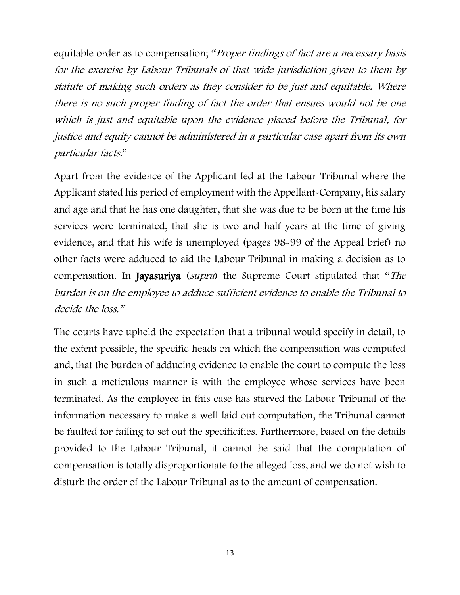equitable order as to compensation; "Proper findings of fact are a necessary basis for the exercise by Labour Tribunals of that wide jurisdiction given to them by statute of making such orders as they consider to be just and equitable. Where there is no such proper finding of fact the order that ensues would not be one which is just and equitable upon the evidence placed before the Tribunal, for justice and equity cannot be administered in a particular case apart from its own particular facts."

Apart from the evidence of the Applicant led at the Labour Tribunal where the Applicant stated his period of employment with the Appellant-Company, his salary and age and that he has one daughter, that she was due to be born at the time his services were terminated, that she is two and half years at the time of giving evidence, and that his wife is unemployed (pages 98-99 of the Appeal brief) no other facts were adduced to aid the Labour Tribunal in making a decision as to compensation. In Jayasuriya (supra) the Supreme Court stipulated that "The burden is on the employee to adduce sufficient evidence to enable the Tribunal to decide the loss."

The courts have upheld the expectation that a tribunal would specify in detail, to the extent possible, the specific heads on which the compensation was computed and, that the burden of adducing evidence to enable the court to compute the loss in such a meticulous manner is with the employee whose services have been terminated. As the employee in this case has starved the Labour Tribunal of the information necessary to make a well laid out computation, the Tribunal cannot be faulted for failing to set out the specificities. Furthermore, based on the details provided to the Labour Tribunal, it cannot be said that the computation of compensation is totally disproportionate to the alleged loss, and we do not wish to disturb the order of the Labour Tribunal as to the amount of compensation.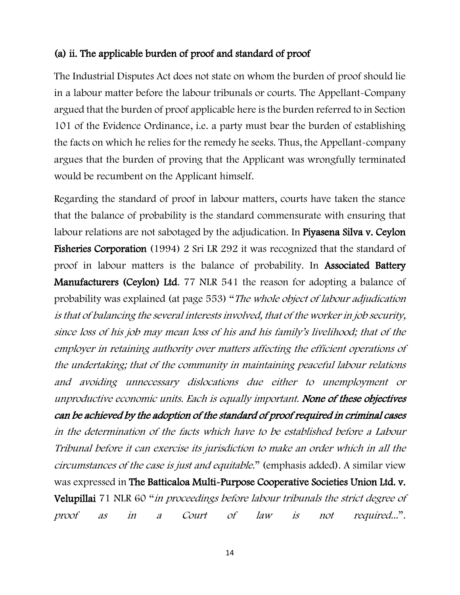# (a) ii. The applicable burden of proof and standard of proof

The Industrial Disputes Act does not state on whom the burden of proof should lie in a labour matter before the labour tribunals or courts. The Appellant-Company argued that the burden of proof applicable here is the burden referred to in Section 101 of the Evidence Ordinance, i.e. a party must bear the burden of establishing the facts on which he relies for the remedy he seeks. Thus, the Appellant-company argues that the burden of proving that the Applicant was wrongfully terminated would be recumbent on the Applicant himself.

Regarding the standard of proof in labour matters, courts have taken the stance that the balance of probability is the standard commensurate with ensuring that labour relations are not sabotaged by the adjudication. In Piyasena Silva v. Ceylon Fisheries Corporation (1994) 2 Sri LR 292 it was recognized that the standard of proof in labour matters is the balance of probability. In Associated Battery Manufacturers (Ceylon) Ltd. 77 NLR 541 the reason for adopting a balance of probability was explained (at page 553) "The whole object of labour adjudication is that of balancing the several interests involved, that of the worker in job security, since loss of his job may mean loss of his and his family's livelihood; that of the employer in retaining authority over matters affecting the efficient operations of the undertaking; that of the community in maintaining peaceful labour relations and avoiding unnecessary dislocations due either to unemployment or unproductive economic units. Each is equally important. None of these objectives can be achieved by the adoption of the standard of proof required in criminal cases in the determination of the facts which have to be established before a Labour Tribunal before it can exercise its jurisdiction to make an order which in all the circumstances of the case is just and equitable." (emphasis added). A similar view was expressed in The Batticaloa Multi-Purpose Cooperative Societies Union Ltd. v. Velupillai 71 NLR 60 "in proceedings before labour tribunals the strict degree of proof as in a Court of law is not required...".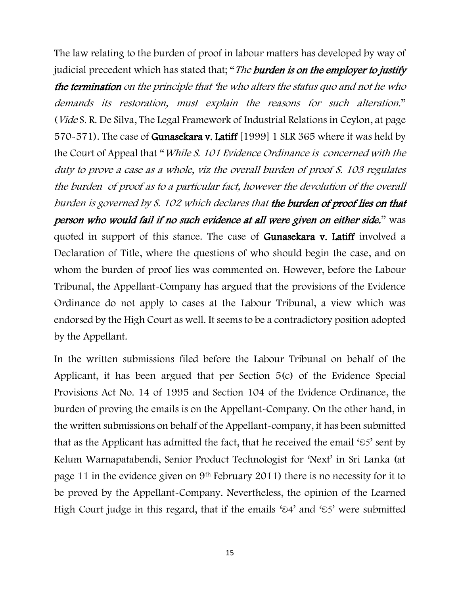The law relating to the burden of proof in labour matters has developed by way of judicial precedent which has stated that; "The **burden is on the employer to justify** the termination on the principle that 'he who alters the status quo and not he who demands its restoration, must explain the reasons for such alteration." (Vide S. R. De Silva, The Legal Framework of Industrial Relations in Ceylon, at page 570-571). The case of Gunasekara v. Latiff [1999] 1 SLR 365 where it was held by the Court of Appeal that "*While S. 101 Evidence Ordinance is concerned with the* duty to prove a case as a whole, viz the overall burden of proof S. 103 regulates the burden of proof as to a particular fact, however the devolution of the overall burden is governed by S. 102 which declares that the burden of proof lies on that person who would fail if no such evidence at all were given on either side." was quoted in support of this stance. The case of Gunasekara v. Latiff involved a Declaration of Title, where the questions of who should begin the case, and on whom the burden of proof lies was commented on. However, before the Labour Tribunal, the Appellant-Company has argued that the provisions of the Evidence Ordinance do not apply to cases at the Labour Tribunal, a view which was endorsed by the High Court as well. It seems to be a contradictory position adopted by the Appellant.

In the written submissions filed before the Labour Tribunal on behalf of the Applicant, it has been argued that per Section 5(c) of the Evidence Special Provisions Act No. 14 of 1995 and Section 104 of the Evidence Ordinance, the burden of proving the emails is on the Appellant-Company. On the other hand, in the written submissions on behalf of the Appellant-company, it has been submitted that as the Applicant has admitted the fact, that he received the email  $\epsilon$ 5' sent by Kelum Warnapatabendi, Senior Product Technologist for 'Next' in Sri Lanka (at page 11 in the evidence given on 9th February 2011) there is no necessity for it to be proved by the Appellant-Company. Nevertheless, the opinion of the Learned High Court judge in this regard, that if the emails ' $\delta$ 4' and ' $\delta$ 5' were submitted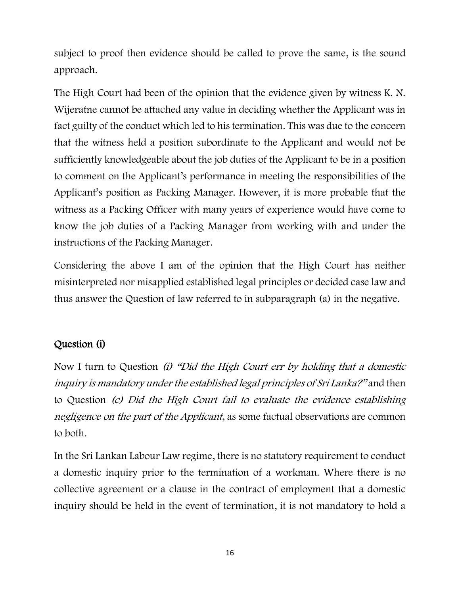subject to proof then evidence should be called to prove the same, is the sound approach.

The High Court had been of the opinion that the evidence given by witness K. N. Wijeratne cannot be attached any value in deciding whether the Applicant was in fact guilty of the conduct which led to his termination. This was due to the concern that the witness held a position subordinate to the Applicant and would not be sufficiently knowledgeable about the job duties of the Applicant to be in a position to comment on the Applicant's performance in meeting the responsibilities of the Applicant's position as Packing Manager. However, it is more probable that the witness as a Packing Officer with many years of experience would have come to know the job duties of a Packing Manager from working with and under the instructions of the Packing Manager.

Considering the above I am of the opinion that the High Court has neither misinterpreted nor misapplied established legal principles or decided case law and thus answer the Question of law referred to in subparagraph (a) in the negative.

# Question (i)

Now I turn to Question (i) "Did the High Court err by holding that a domestic inquiry is mandatory under the established legal principles of Sri Lanka?" and then to Question (c) Did the High Court fail to evaluate the evidence establishing negligence on the part of the Applicant, as some factual observations are common to both.

In the Sri Lankan Labour Law regime, there is no statutory requirement to conduct a domestic inquiry prior to the termination of a workman. Where there is no collective agreement or a clause in the contract of employment that a domestic inquiry should be held in the event of termination, it is not mandatory to hold a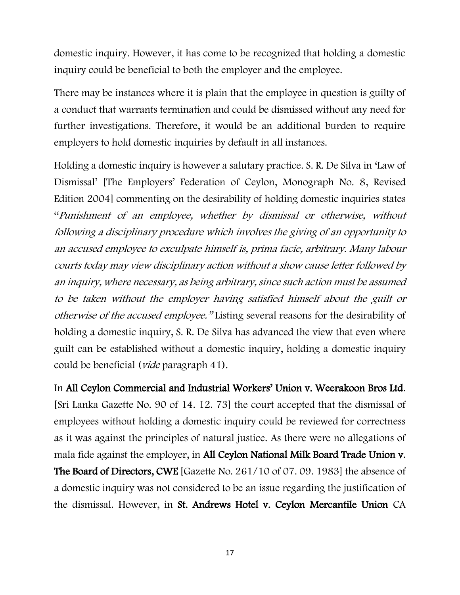domestic inquiry. However, it has come to be recognized that holding a domestic inquiry could be beneficial to both the employer and the employee.

There may be instances where it is plain that the employee in question is guilty of a conduct that warrants termination and could be dismissed without any need for further investigations. Therefore, it would be an additional burden to require employers to hold domestic inquiries by default in all instances.

Holding a domestic inquiry is however a salutary practice. S. R. De Silva in 'Law of Dismissal' [The Employers' Federation of Ceylon, Monograph No. 8, Revised Edition 2004] commenting on the desirability of holding domestic inquiries states "Punishment of an employee, whether by dismissal or otherwise, without following a disciplinary procedure which involves the giving of an opportunity to an accused employee to exculpate himself is, prima facie, arbitrary. Many labour courts today may view disciplinary action without a show cause letter followed by an inquiry, where necessary, as being arbitrary, since such action must be assumed to be taken without the employer having satisfied himself about the guilt or otherwise of the accused employee." Listing several reasons for the desirability of holding a domestic inquiry, S. R. De Silva has advanced the view that even where guilt can be established without a domestic inquiry, holding a domestic inquiry could be beneficial (vide paragraph 41).

In All Ceylon Commercial and Industrial Workers' Union v. Weerakoon Bros Ltd. [Sri Lanka Gazette No. 90 of 14. 12. 73] the court accepted that the dismissal of employees without holding a domestic inquiry could be reviewed for correctness as it was against the principles of natural justice. As there were no allegations of mala fide against the employer, in All Ceylon National Milk Board Trade Union v. The Board of Directors, CWE [Gazette No. 261/10 of 07. 09. 1983] the absence of a domestic inquiry was not considered to be an issue regarding the justification of the dismissal. However, in St. Andrews Hotel v. Ceylon Mercantile Union CA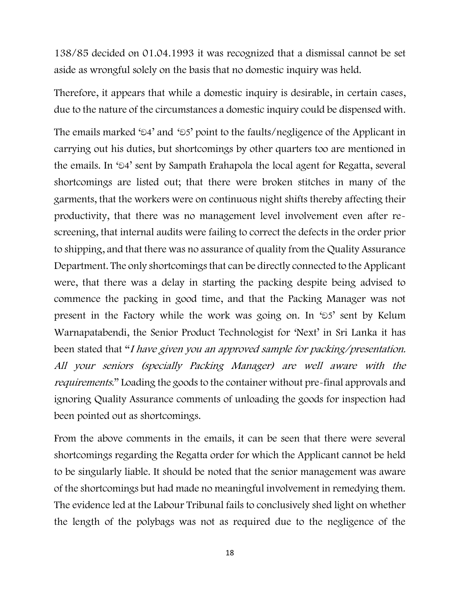138/85 decided on 01.04.1993 it was recognized that a dismissal cannot be set aside as wrongful solely on the basis that no domestic inquiry was held.

Therefore, it appears that while a domestic inquiry is desirable, in certain cases, due to the nature of the circumstances a domestic inquiry could be dispensed with.

The emails marked ' $\delta$ 4' and ' $\delta$ 5' point to the faults/negligence of the Applicant in carrying out his duties, but shortcomings by other quarters too are mentioned in the emails. In ' $\odot$ 4' sent by Sampath Erahapola the local agent for Regatta, several shortcomings are listed out; that there were broken stitches in many of the garments, that the workers were on continuous night shifts thereby affecting their productivity, that there was no management level involvement even after rescreening, that internal audits were failing to correct the defects in the order prior to shipping, and that there was no assurance of quality from the Quality Assurance Department. The only shortcomings that can be directly connected to the Applicant were, that there was a delay in starting the packing despite being advised to commence the packing in good time, and that the Packing Manager was not present in the Factory while the work was going on. In ' $55'$  sent by Kelum Warnapatabendi, the Senior Product Technologist for 'Next' in Sri Lanka it has been stated that "I have given you an approved sample for packing/presentation. All your seniors (specially Packing Manager) are well aware with the requirements." Loading the goods to the container without pre-final approvals and ignoring Quality Assurance comments of unloading the goods for inspection had been pointed out as shortcomings.

From the above comments in the emails, it can be seen that there were several shortcomings regarding the Regatta order for which the Applicant cannot be held to be singularly liable. It should be noted that the senior management was aware of the shortcomings but had made no meaningful involvement in remedying them. The evidence led at the Labour Tribunal fails to conclusively shed light on whether the length of the polybags was not as required due to the negligence of the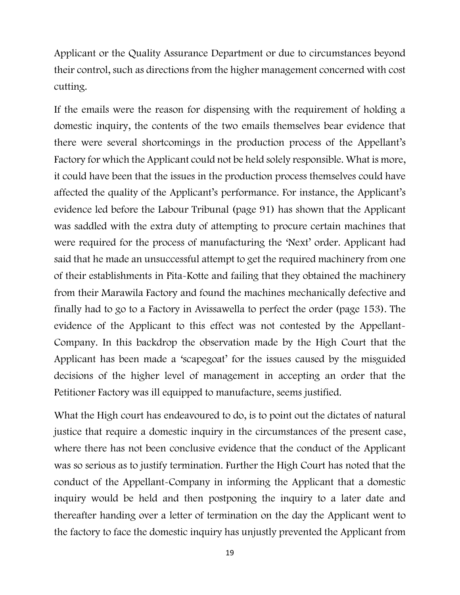Applicant or the Quality Assurance Department or due to circumstances beyond their control, such as directions from the higher management concerned with cost cutting.

If the emails were the reason for dispensing with the requirement of holding a domestic inquiry, the contents of the two emails themselves bear evidence that there were several shortcomings in the production process of the Appellant's Factory for which the Applicant could not be held solely responsible. What is more, it could have been that the issues in the production process themselves could have affected the quality of the Applicant's performance. For instance, the Applicant's evidence led before the Labour Tribunal (page 91) has shown that the Applicant was saddled with the extra duty of attempting to procure certain machines that were required for the process of manufacturing the 'Next' order. Applicant had said that he made an unsuccessful attempt to get the required machinery from one of their establishments in Pita-Kotte and failing that they obtained the machinery from their Marawila Factory and found the machines mechanically defective and finally had to go to a Factory in Avissawella to perfect the order (page 153). The evidence of the Applicant to this effect was not contested by the Appellant-Company. In this backdrop the observation made by the High Court that the Applicant has been made a 'scapegoat' for the issues caused by the misguided decisions of the higher level of management in accepting an order that the Petitioner Factory was ill equipped to manufacture, seems justified.

What the High court has endeavoured to do, is to point out the dictates of natural justice that require a domestic inquiry in the circumstances of the present case, where there has not been conclusive evidence that the conduct of the Applicant was so serious as to justify termination. Further the High Court has noted that the conduct of the Appellant-Company in informing the Applicant that a domestic inquiry would be held and then postponing the inquiry to a later date and thereafter handing over a letter of termination on the day the Applicant went to the factory to face the domestic inquiry has unjustly prevented the Applicant from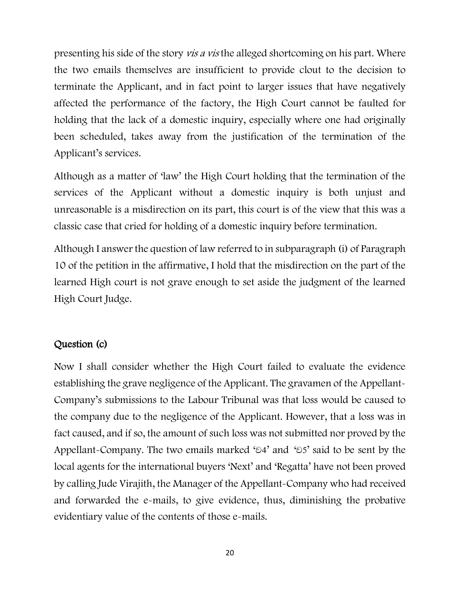presenting his side of the story vis a vis the alleged shortcoming on his part. Where the two emails themselves are insufficient to provide clout to the decision to terminate the Applicant, and in fact point to larger issues that have negatively affected the performance of the factory, the High Court cannot be faulted for holding that the lack of a domestic inquiry, especially where one had originally been scheduled, takes away from the justification of the termination of the Applicant's services.

Although as a matter of 'law' the High Court holding that the termination of the services of the Applicant without a domestic inquiry is both unjust and unreasonable is a misdirection on its part, this court is of the view that this was a classic case that cried for holding of a domestic inquiry before termination.

Although I answer the question of law referred to in subparagraph (i) of Paragraph 10 of the petition in the affirmative, I hold that the misdirection on the part of the learned High court is not grave enough to set aside the judgment of the learned High Court Judge.

## Question (c)

Now I shall consider whether the High Court failed to evaluate the evidence establishing the grave negligence of the Applicant. The gravamen of the Appellant-Company's submissions to the Labour Tribunal was that loss would be caused to the company due to the negligence of the Applicant. However, that a loss was in fact caused, and if so, the amount of such loss was not submitted nor proved by the Appellant-Company. The two emails marked ' $\partial$ 4' and ' $\partial$ 5' said to be sent by the local agents for the international buyers 'Next' and 'Regatta' have not been proved by calling Jude Virajith, the Manager of the Appellant-Company who had received and forwarded the e-mails, to give evidence, thus, diminishing the probative evidentiary value of the contents of those e-mails.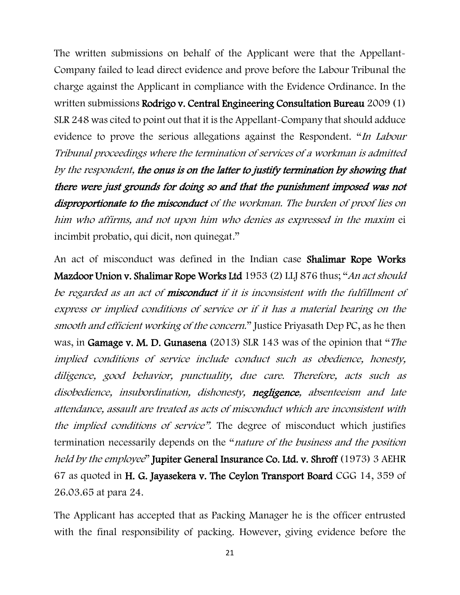The written submissions on behalf of the Applicant were that the Appellant-Company failed to lead direct evidence and prove before the Labour Tribunal the charge against the Applicant in compliance with the Evidence Ordinance. In the written submissions Rodrigo v. Central Engineering Consultation Bureau 2009 (1) SLR 248 was cited to point out that it is the Appellant-Company that should adduce evidence to prove the serious allegations against the Respondent. "In Labour Tribunal proceedings where the termination of services of a workman is admitted by the respondent, the onus is on the latter to justify termination by showing that there were just grounds for doing so and that the punishment imposed was not disproportionate to the misconduct of the workman. The burden of proof lies on him who affirms, and not upon him who denies as expressed in the maxim ei incimbit probatio, qui dicit, non quinegat."

An act of misconduct was defined in the Indian case Shalimar Rope Works Mazdoor Union v. Shalimar Rope Works Ltd 1953 (2) LLJ 876 thus; "An act should be regarded as an act of **misconduct** if it is inconsistent with the fulfillment of express or implied conditions of service or if it has a material bearing on the smooth and efficient working of the concern." Justice Priyasath Dep PC, as he then was, in Gamage v. M. D. Gunasena (2013) SLR 143 was of the opinion that "The implied conditions of service include conduct such as obedience, honesty, diligence, good behavior, punctuality, due care. Therefore, acts such as disobedience, insubordination, dishonesty, negligence, absenteeism and late attendance, assault are treated as acts of misconduct which are inconsistent with the implied conditions of service". The degree of misconduct which justifies termination necessarily depends on the "nature of the business and the position held by the employee" Jupiter General Insurance Co. Ltd. v. Shroff (1973) 3 AEHR 67 as quoted in H. G. Jayasekera v. The Ceylon Transport Board CGG 14, 359 of 26.03.65 at para 24.

The Applicant has accepted that as Packing Manager he is the officer entrusted with the final responsibility of packing. However, giving evidence before the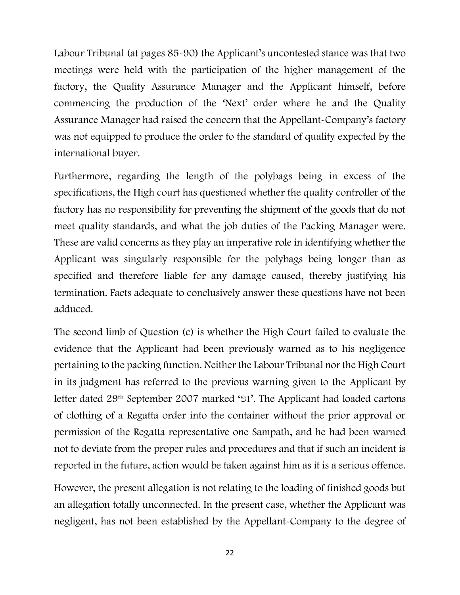Labour Tribunal (at pages 85-90) the Applicant's uncontested stance was that two meetings were held with the participation of the higher management of the factory, the Quality Assurance Manager and the Applicant himself, before commencing the production of the 'Next' order where he and the Quality Assurance Manager had raised the concern that the Appellant-Company's factory was not equipped to produce the order to the standard of quality expected by the international buyer.

Furthermore, regarding the length of the polybags being in excess of the specifications, the High court has questioned whether the quality controller of the factory has no responsibility for preventing the shipment of the goods that do not meet quality standards, and what the job duties of the Packing Manager were. These are valid concerns as they play an imperative role in identifying whether the Applicant was singularly responsible for the polybags being longer than as specified and therefore liable for any damage caused, thereby justifying his termination. Facts adequate to conclusively answer these questions have not been adduced.

The second limb of Question (c) is whether the High Court failed to evaluate the evidence that the Applicant had been previously warned as to his negligence pertaining to the packing function. Neither the Labour Tribunal nor the High Court in its judgment has referred to the previous warning given to the Applicant by letter dated 29<sup>th</sup> September 2007 marked '<sup>51</sup>'. The Applicant had loaded cartons of clothing of a Regatta order into the container without the prior approval or permission of the Regatta representative one Sampath, and he had been warned not to deviate from the proper rules and procedures and that if such an incident is reported in the future, action would be taken against him as it is a serious offence.

However, the present allegation is not relating to the loading of finished goods but an allegation totally unconnected. In the present case, whether the Applicant was negligent, has not been established by the Appellant-Company to the degree of